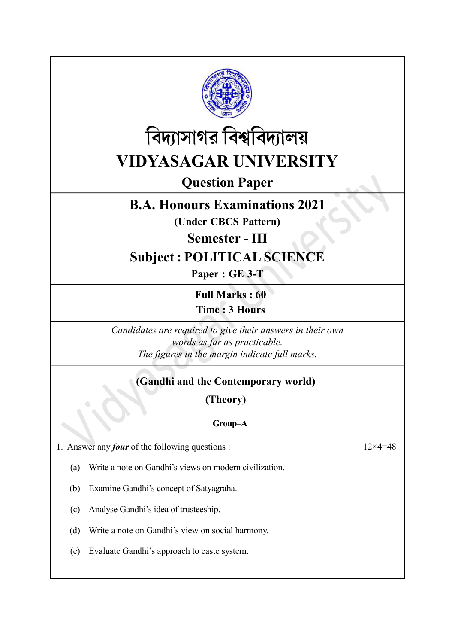



# Question Paper

# B.A. Honours Examinations 2021

(Under CBCS Pattern)

Semester - III

# Subject : POLITICAL SCIENCE

Paper : GE 3-T

Full Marks : 60 Time : 3 Hours

Candidates are required to give their answers in their own words as far as practicable. The figures in the margin indicate full marks.

# (Gandhi and the Contemporary world)

(Theory)

# Group–A

1. Answer any *four* of the following questions :  $12 \times 4 = 48$ 

(a) Write a note on Gandhi's views on modern civilization.

(b) Examine Gandhi's concept of Satyagraha.

(c) Analyse Gandhi's idea of trusteeship.

(d) Write a note on Gandhi's view on social harmony.

(e) Evaluate Gandhi's approach to caste system.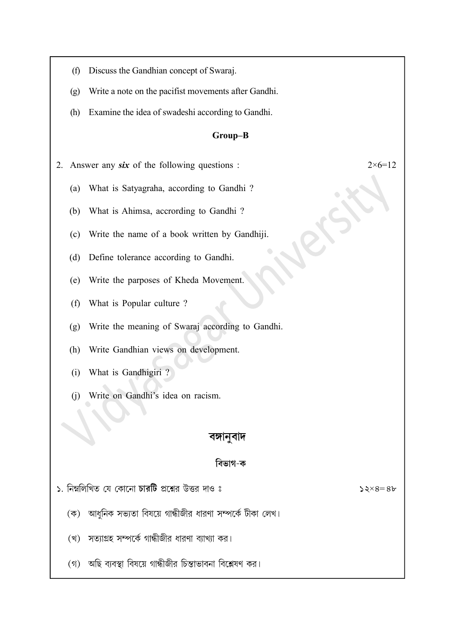- (f) Discuss the Gandhian concept of Swaraj.
- (g) Write a note on the pacifist movements after Gandhi.
- (h) Examine the idea of swadeshi according to Gandhi.

### Group–B

2. Answer any six of the following questions :  $2 \times 6 = 12$ 

- (a) What is Satyagraha, according to Gandhi ?
- (b) What is Ahimsa, accrording to Gandhi ?
- (c) Write the name of a book written by Gandhiji.
- (d) Define tolerance according to Gandhi.
- (e) Write the parposes of Kheda Movement.
- (f) What is Popular culture ?
- (g) Write the meaning of Swaraj according to Gandhi.
- (h) Write Gandhian views on development.
- (i) What is Gandhigiri ?
- (j) Write on Gandhi's idea on racism.

## বঙ্গানুবাদ

### বিভাগ-ক

১. নিম্নলিখিত যে কোনো চারটি প্রশ্নের উত্তর দাও ঃ

 $52\times8=86$ 

- (ক) আধুনিক সভ্যতা বিষয়ে গান্ধীজীর ধারণা সম্পর্কে টীকা লেখ।
- (খ) সত্যাগ্রহ সম্পর্কে গান্ধীজীর ধারণা ব্যাখ্যা কর।
- (গ) অছি ব্যবস্থা বিষয়ে গান্ধীজীর চিন্তাভাবনা বিশ্লেষণ কর।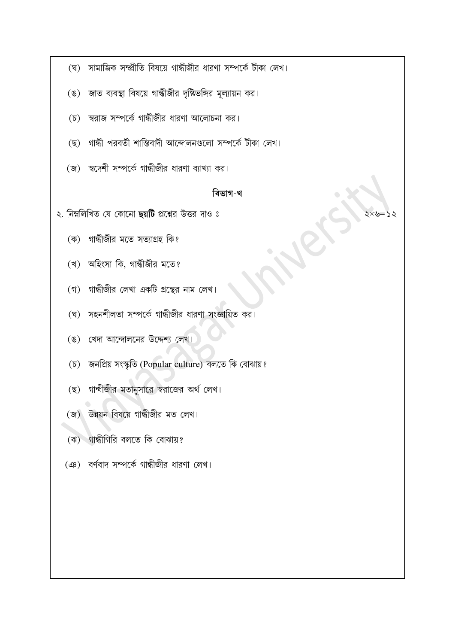- (ঘ) সামাজিক সম্প্রীতি বিষয়ে গান্ধীজীর ধারণা সম্পর্কে টীকা লেখ।
- (ঙ) জাত ব্যবস্থা বিষয়ে গান্ধীজীর দৃষ্টিভঙ্গির মূল্যায়ন কর।
- (চ) স্বরাজ সম্পর্কে গান্ধীজীর ধারণা আলোচনা কর।
- (ছ) গান্ধী পরবর্তী শান্তিবাদী আন্দোলনগুলো সম্পর্কে টীকা লেখ।
- (জ) স্বদেশী সম্পর্কে গান্ধীজীর ধারণা ব্যাখ্যা কর।

### বিভাগ-খ

২. নিম্নলিখিত যে কোনো ছয়টি প্রশ্নের উত্তর দাও ঃ

- (ক) গান্ধীজীর মতে সত্যাগ্রহ কি?
- (খ) অহিংসা কি, গান্ধীজীর মতে?
- (গ) গান্ধীজীর লেখা একটি গ্রন্থের নাম লেখ।
- (ঘ) সহনশীলতা সম্পর্কে গান্ধীজীর ধারণা সংজ্ঞায়িত কর।
- (ঙ) খেদা আন্দোলনের উদ্দেশ্য লেখ।
- (চ) জনপ্ৰিয় সংস্কৃতি (Popular culture) বলতে কি বোঝায়?
- (ছ) গাম্বীজীর মতানুসারে স্বরাজের অর্থ লেখ।
- (জ) উন্নয়ন বিষয়ে গান্ধীজীর মত লেখ।
- (ঝ) গান্ধীগিরি বলতে কি বোঝায়?
- (এঃ) বর্ণবাদ সম্পর্কে গান্ধীজীর ধারণা লেখ।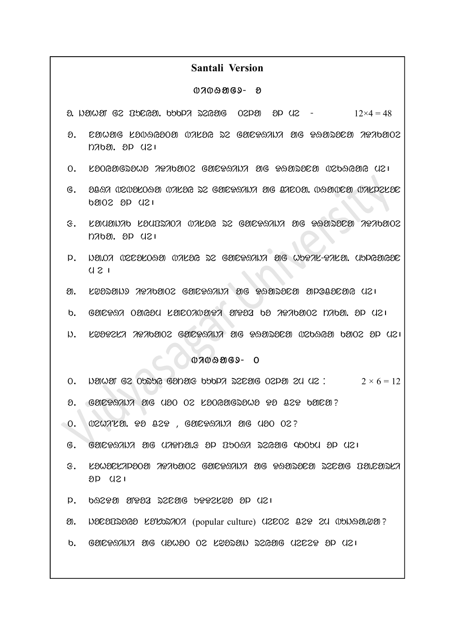## Santali Version

#### $0700909 - 8$

 $\alpha$ . yawar ge Therea. bobpa segarg oepar ap ye  $-$  12×4 = 48

- $\delta$ . CMWMG LOVAGOON VALOG DZ GMEGAANA MG GAMDOZ AGADMOZ  $121000.000$
- $O.$  La $O$ Galengay at  $O2$  gale  $O2$  in the candal  $O2$  in  $O2$  in  $O2$  in  $O2$
- $G.$   $20.97$   $0$ 2020 $0.99$   $0.7$   $0.26$   $0.52$   $0.69$  $0.97$   $0.99$   $0.07$   $0.07$   $0.02$   $0.02$  $600200$   $121$
- $s$ . Lauanto Laubstot vilag se gabratut ag Raaseea tribaoe  $D700.00$   $D90.021$
- $P.$   $D.07$   $D.02$   $D.03$   $D.03$   $D.04$   $D.05$   $D.05$   $D.07$   $D.08$   $D.07$   $D.09$  $U 21$
- $\mathfrak{A}$ . Kyadawa zazolajce gandanda ale qaadaca aloogacay qualo
- $b.$  galess oagsy lalooniast aysa ba kandao nyoa. ap yei
- $D.$  kydtzi atabaoz galttani ag PanDala midword paoz op (12)

#### $07009069 - 0$

- 0. yang ge obsbe ganar bobp secar oepa en us:  $2 \times 6 = 12$
- $\theta$ . GØL $\Omega$ AN $\lambda$  ag (120 02 L $\partial$ 06 $\partial$ G $\infty$ 20  $\theta$ 29 0 $\partial$ E $\theta$ ?
- $\circ$  0.  $\circ$  0207129.  $\circ$  022 $\circ$  , Galetarita ag (120 02?
	- g . ganDHiji ag miDta.f ol PuTHi reYag quTum ol me|
	- $G.$  kawackapaoa agabaoz gaicgsaida aig gsaisaca szcaig italcaska  $8P$   $121$
	- $P.$  bazen area pazzag beezken ap (12)
- $\mathfrak{D}$ .  $\mathfrak{D}$  $\mathfrak{D}$  $\mathfrak{D}$  $\mathfrak{D}$  $\mathfrak{D}$  $\mathfrak{D}$   $\mathfrak{D}$   $\mathfrak{D}$   $\mathfrak{D}$   $\mathfrak{D}$  (popular culture)  $\mathfrak{Q}$   $\mathfrak{D}$   $\mathfrak{D}$   $\mathfrak{D}$   $\mathfrak{D}$   $\mathfrak{D}$   $\mathfrak{D}$   $\mathfrak{D}$   $\mathfrak{D}$   $\mathfrak{D$
- $h.$  gandaying aig (19090 os Kasyan 2scaig (1203a ad (131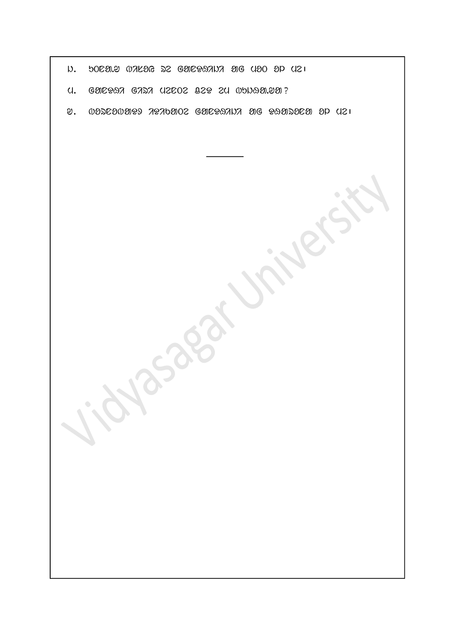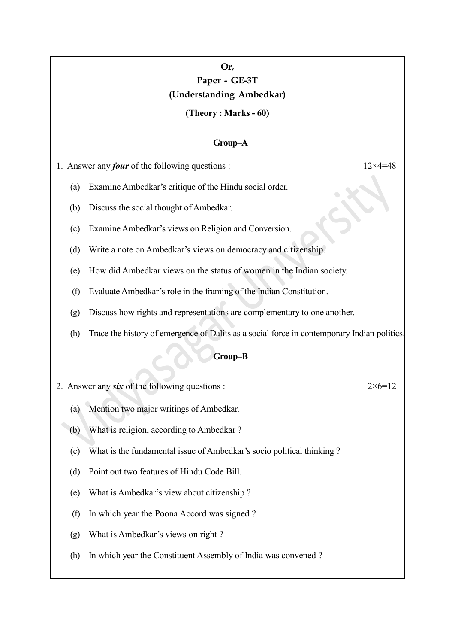# Or, Paper - GE-3T (Understanding Ambedkar)

### (Theory : Marks - 60)

#### Group–A

1. Answer any *four* of the following questions :  $12 \times 4 = 48$ 

(a) Examine Ambedkar's critique of the Hindu social order.

(b) Discuss the social thought of Ambedkar.

(c) Examine Ambedkar's views on Religion and Conversion.

(d) Write a note on Ambedkar's views on democracy and citizenship.

(e) How did Ambedkar views on the status of women in the Indian society.

(f) Evaluate Ambedkar's role in the framing of the Indian Constitution.

(g) Discuss how rights and representations are complementary to one another.

(h) Trace the history of emergence of Dalits as a social force in contemporary Indian politics.

### Group–B

2. Answer any six of the following questions :  $2 \times 6 = 12$ 

(a) Mention two major writings of Ambedkar.

(b) What is religion, according to Ambedkar ?

(c) What is the fundamental issue of Ambedkar's socio political thinking ?

(d) Point out two features of Hindu Code Bill.

(e) What is Ambedkar's view about citizenship ?

(f) In which year the Poona Accord was signed ?

(g) What is Ambedkar's views on right ?

(h) In which year the Constituent Assembly of India was convened ?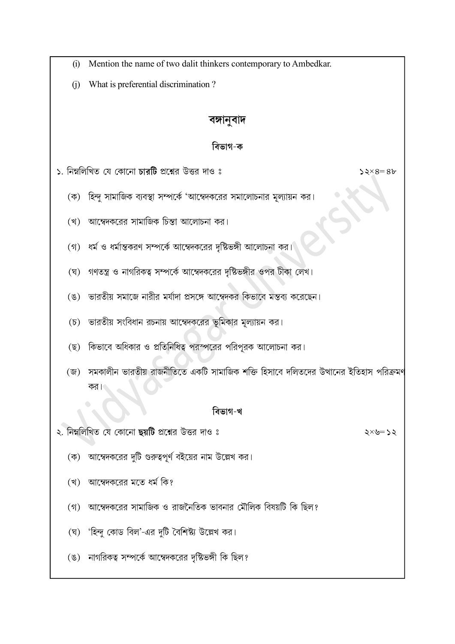- Mention the name of two dalit thinkers contemporary to Ambedkar.  $(i)$
- What is preferential discrimination?  $(i)$

# বঙ্গানুবাদ

# বিভাগ-ক

- $\mathsf{S}$ . নিম্নলিখিত যে কোনো চারটি প্রশ্নের উত্তর দাও ঃ
	- (ক) হিন্দু সামাজিক ব্যবস্থা সম্পর্কে 'আম্বেদকরের সমালোচনার মূল্যায়ন কর।
	- (খ) আম্বেদকরের সামাজিক চিন্তা আলোচনা কর।
	- (গ) ধর্ম ও ধর্মান্তকরণ সম্পর্কে আম্বেদকরের দৃষ্টিভঙ্গী আলোচনা কর।
	- (ঘ) গণতন্ত্র ও নাগরিকত্ব সম্পর্কে আম্বেদকরের দৃষ্টিভঙ্গীর ওপর টীকা লেখ।
	- (ঙ) ভারতীয় সমাজে নারীর মর্যাদা প্রসঙ্গে আম্বেদকর কিভাবে মন্তব্য করেছেন।
	- (চ) ভারতীয় সংবিধান রচনায় আম্বেদকরের ভূমিকার মূল্যায়ন কর।
	- (ছ) কিভাবে অধিকার ও প্রতিনিধিত্ব পরস্পরের পরিপুরক আলোচনা কর।
	- (জ) সমকালীন ভারতীয় রাজনীতিতে একটি সামাজিক শক্তি হিসাবে দলিতদের উত্থানের ইতিহাস পরিক্রমণ

## বিভাগ-খ

২. নিম্নলিখিত যে কোনো ছয়টি প্রশ্নের উত্তর দাও ঃ

 $2x = 2x$ 

 $52\times8=86$ 

- (ক) আম্বেদকরের দুটি গুরুত্বপূর্ণ বইয়ের নাম উল্লেখ কর।
- (খ) আম্বেদকরের মতে ধর্ম কি?
- (গ) আম্বেদকরের সামাজিক ও রাজনৈতিক ভাবনার মৌলিক বিষয়টি কি ছিল?
- (ঘ) 'হিন্দু কোড বিল'-এর দুটি বৈশিষ্ট্য উল্লেখ কর।
- (ঙ) নাগরিকত্ব সম্পর্কে আম্বেদকরের দৃষ্টিভঙ্গী কি ছিল?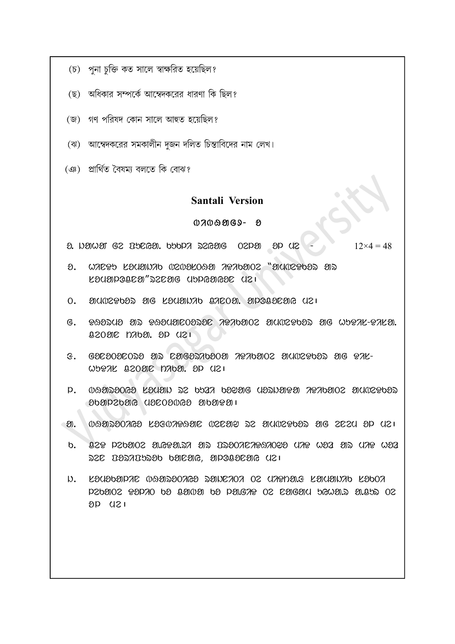- (চ) পুনা চুক্তি কত সালে স্বাক্ষরিত হয়েছিল?
- (ছ) অধিকার সম্পর্কে আম্বেদকরের ধারণা কি ছিল?
- (জ) গণ পরিষদ কোন সালে আহুত হয়েছিল?
- (ঝ) আম্বেদকরের সমকালীন দুজন দলিত চিন্তাবিদের নাম লেখ।
- (ঞ) প্ৰাৰ্থিত বৈষম্য বলতে কি বোঝ?

## Santali Version

### $0700909 - 8$

 $\alpha$ . iahan ge Tungga, buba segara ol me ap de  $\alpha$  - 12×4 = 48

- $\Omega$ . WADPD LOUONAD NZNOLOSO APADONZ "OUNZPOOS OS  $120$
- $0.$  and  $2902$  ag lauar aloca. ap alocation  $0.$
- $G.$   $\theta$ 82248 ar  $\theta$ 8448003280 and  $\theta$ 36 and and  $\theta$  and  $\theta$ .  $Q2090C$   $D7090C$ .  $9P$   $Q21$
- $f$  . GOZOODZONO ON ZOGONODOO APADOOZ OUVZPDON OG PAL- $W$ <sub>D</sub> $R$  and  $W$  and  $W$  and  $W$  and  $W$
- $\rm p.$  09929069 LICED as bear bedag used the reformed municipal ତ୍ତର ବାର୍ଯ୍ୟ ବାର୍ଯ୍ୟ କରିଥିଲେ ।
- $\mathfrak{D}$ .  $\mathfrak{D}$  $\mathfrak{D}$  $\mathfrak{D}$  $\mathfrak{D}$  $\mathfrak{D}$   $\mathfrak{D}$   $\mathfrak{D}$   $\mathfrak{D}$   $\mathfrak{D}$   $\mathfrak{D}$   $\mathfrak{D}$   $\mathfrak{D}$   $\mathfrak{D}$   $\mathfrak{D}$   $\mathfrak{D}$   $\mathfrak{D}$   $\mathfrak{D}$   $\mathfrak{D}$   $\mathfrak{D}$   $\mathfrak{D}$   $\mathfrak{D}$   $\mathfr$
- $b.$   $B29$  p2 $b302$  a.G $93.57$  as  $D3007$ Ca& $3092$  dat  $W32$  as untimided  $ZC$   $U2ZU2ZO$   $U3C0C$ , apolleng  $U2$
- i). Lauabarar waadaaaa dawraaa os uarpa.g Lauaiyab Laboa  $DZb202$   $R2D70$  be agnos be paigre oz ragam bewar a.a.s oz  $8D$   $(121)$